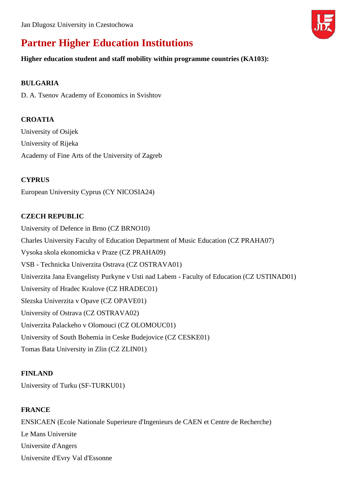

# **Partner Higher Education Institutions**

#### **Higher education student and staff mobility within programme countries (KA103):**

#### **BULGARIA**

D. A. Tsenov Academy of Economics in Svishtov

### **CROATIA**

University of Osijek University of Rijeka Academy of Fine Arts of the University of Zagreb

#### **CYPRUS**

European University Cyprus (CY NICOSIA24)

#### **CZECH REPUBLIC**

University of Defence in Brno (CZ BRNO10) Charles University Faculty of Education Department of Music Education (CZ PRAHA07) Vysoka skola ekonomicka v Praze (CZ PRAHA09) VSB - Technicka Univerzita Ostrava (CZ OSTRAVA01) Univerzita Jana Evangelisty Purkyne v Usti nad Labem - Faculty of Education (CZ USTINAD01) University of Hradec Kralove (CZ HRADEC01) Slezska Univerzita v Opave (CZ OPAVE01) University of Ostrava (CZ OSTRAVA02) Univerzita Palackeho v Olomouci (CZ OLOMOUC01) University of South Bohemia in Ceske Budejovice (CZ CESKE01) Tomas Bata University in Zlin (CZ ZLIN01)

#### **FINLAND**

University of Turku (SF-TURKU01)

#### **FRANCE**

ENSICAEN (Ecole Nationale Superieure d'Ingenieurs de CAEN et Centre de Recherche) Le Mans Universite Universite d'Angers Universite d'Evry Val d'Essonne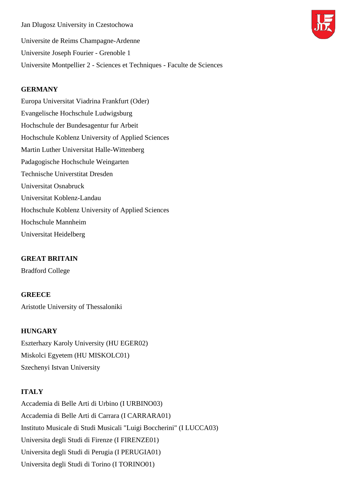Jan Dlugosz University in Czestochowa Universite de Reims Champagne-Ardenne Universite Joseph Fourier - Grenoble 1 Universite Montpellier 2 - Sciences et Techniques - Faculte de Sciences

#### **GERMANY**

Europa Universitat Viadrina Frankfurt (Oder) Evangelische Hochschule Ludwigsburg Hochschule der Bundesagentur fur Arbeit Hochschule Koblenz University of Applied Sciences Martin Luther Universitat Halle-Wittenberg Padagogische Hochschule Weingarten Technische Universtitat Dresden Universitat Osnabruck Universitat Koblenz-Landau Hochschule Koblenz University of Applied Sciences Hochschule Mannheim Universitat Heidelberg

#### **GREAT BRITAIN**

Bradford College

#### **GREECE**

Aristotle University of Thessaloniki

#### **HUNGARY**

Eszterhazy Karoly University (HU EGER02) Miskolci Egyetem (HU MISKOLC01) Szechenyi Istvan University

#### **ITALY**

Accademia di Belle Arti di Urbino (I URBINO03) Accademia di Belle Arti di Carrara (I CARRARA01) Instituto Musicale di Studi Musicali "Luigi Boccherini" (I LUCCA03) Universita degli Studi di Firenze (I FIRENZE01) Universita degli Studi di Perugia (I PERUGIA01) Universita degli Studi di Torino (I TORINO01)

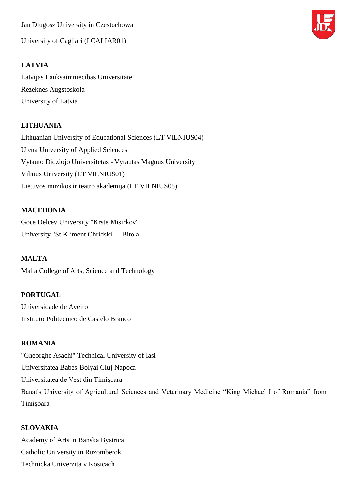Jan Dlugosz University in Czestochowa

University of Cagliari (I CALIAR01)

#### **LATVIA**

Latvijas Lauksaimniecibas Universitate Rezeknes Augstoskola University of Latvia

#### **LITHUANIA**

Lithuanian University of Educational Sciences (LT VILNIUS04) Utena University of Applied Sciences Vytauto Didziojo Universitetas - Vytautas Magnus University Vilnius University (LT VILNIUS01) Lietuvos muzikos ir teatro akademija (LT VILNIUS05)

#### **MACEDONIA**

Goce Delcev University "Krste Misirkov" University "St Kliment Ohridski" – Bitola

# **MALTA**

Malta College of Arts, Science and Technology

#### **PORTUGAL**

Universidade de Aveiro Instituto Politecnico de Castelo Branco

#### **ROMANIA**

"Gheorghe Asachi" Technical University of Iasi Universitatea Babes-Bolyai Cluj-Napoca Universitatea de Vest din Timişoara Banat's University of Agricultural Sciences and Veterinary Medicine "King Michael I of Romania" from Timișoara

#### **SLOVAKIA**

Academy of Arts in Banska Bystrica Catholic University in Ruzomberok Technicka Univerzita v Kosicach

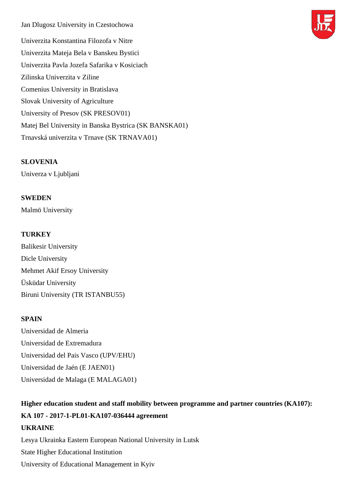Jan Dlugosz University in Czestochowa Univerzita Konstantina Filozofa v Nitre Univerzita Mateja Bela v Banskeu Bystici Univerzita Pavla Jozefa Safarika v Kosiciach Zilinska Univerzita v Ziline Comenius University in Bratislava Slovak University of Agriculture University of Presov (SK PRESOV01) Matej Bel University in Banska Bystrica (SK BANSKA01) Trnavská univerzita v Trnave (SK TRNAVA01)

#### **SLOVENIA**

Univerza v Ljubljani

#### **SWEDEN**

Malmö University

#### **TURKEY**

Balikesir University Dicle University Mehmet Akif Ersoy University Üsküdar University Biruni University (TR ISTANBU55)

#### **SPAIN**

Universidad de Almeria Universidad de Extremadura Universidad del Pais Vasco (UPV/EHU) Universidad de Jaén (E JAEN01) Universidad de Malaga (E MALAGA01)

# **Higher education student and staff mobility between programme and partner countries (KA107): KA 107 - 2017-1-PL01-KA107-036444 agreement UKRAINE**

Lesya Ukrainka Eastern European National University in Lutsk State Higher Educational Institution University of Educational Management in Kyiv